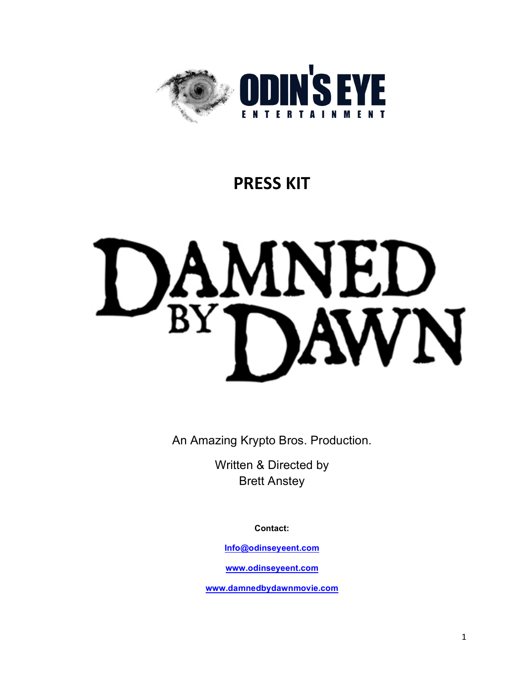

# **PRESS KIT**



An Amazing Krypto Bros. Production.

Written & Directed by Brett Anstey

**Contact:**

**Info@odinseyeent.com**

**www.odinseyeent.com**

**www.damnedbydawnmovie.com**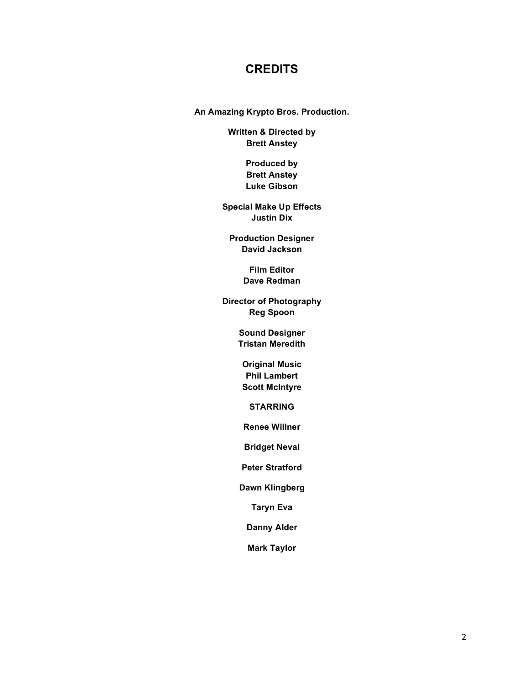# **CREDITS**

**An Amazing Krypto Bros. Production.**

**Written & Directed by Brett Anstey**

> **Produced by Brett Anstey Luke Gibson**

**Special Make Up Effects Justin Dix**

**Production Designer David Jackson**

> **Film Editor Dave Redman**

**Director of Photography Reg Spoon**

> **Sound Designer Tristan Meredith**

**Original Music Phil Lambert Scott McIntyre**

**STARRING**

**Renee Willner**

**Bridget Neval**

**Peter Stratford**

**Dawn Klingberg**

**Taryn Eva**

**Danny Alder**

**Mark Taylor**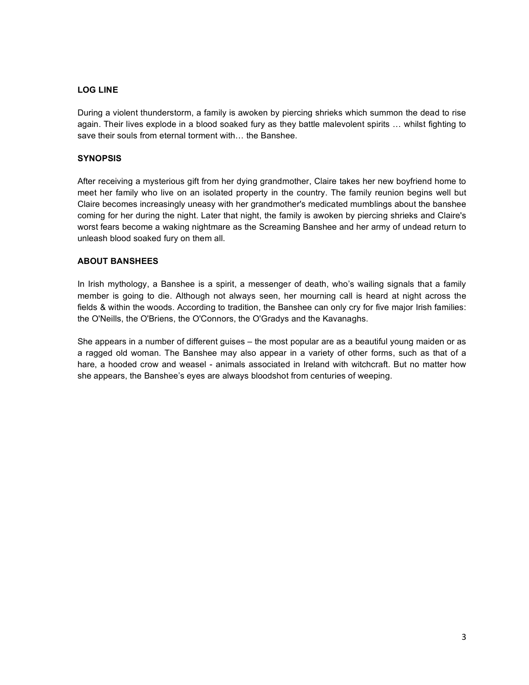# **LOG LINE**

During a violent thunderstorm, a family is awoken by piercing shrieks which summon the dead to rise again. Their lives explode in a blood soaked fury as they battle malevolent spirits … whilst fighting to save their souls from eternal torment with… the Banshee.

## **SYNOPSIS**

After receiving a mysterious gift from her dying grandmother, Claire takes her new boyfriend home to meet her family who live on an isolated property in the country. The family reunion begins well but Claire becomes increasingly uneasy with her grandmother's medicated mumblings about the banshee coming for her during the night. Later that night, the family is awoken by piercing shrieks and Claire's worst fears become a waking nightmare as the Screaming Banshee and her army of undead return to unleash blood soaked fury on them all.

## **ABOUT BANSHEES**

In Irish mythology, a Banshee is a spirit, a messenger of death, who's wailing signals that a family member is going to die. Although not always seen, her mourning call is heard at night across the fields & within the woods. According to tradition, the Banshee can only cry for five major Irish families: the O'Neills, the O'Briens, the O'Connors, the O'Gradys and the Kavanaghs.

She appears in a number of different guises – the most popular are as a beautiful young maiden or as a ragged old woman. The Banshee may also appear in a variety of other forms, such as that of a hare, a hooded crow and weasel - animals associated in Ireland with witchcraft. But no matter how she appears, the Banshee's eyes are always bloodshot from centuries of weeping.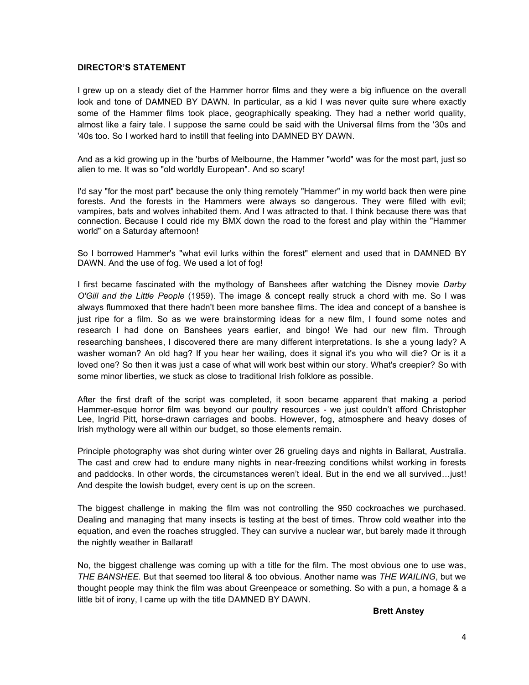## **DIRECTOR'S STATEMENT**

I grew up on a steady diet of the Hammer horror films and they were a big influence on the overall look and tone of DAMNED BY DAWN. In particular, as a kid I was never quite sure where exactly some of the Hammer films took place, geographically speaking. They had a nether world quality, almost like a fairy tale. I suppose the same could be said with the Universal films from the '30s and '40s too. So I worked hard to instill that feeling into DAMNED BY DAWN.

And as a kid growing up in the 'burbs of Melbourne, the Hammer "world" was for the most part, just so alien to me. It was so "old worldly European". And so scary!

I'd say "for the most part" because the only thing remotely "Hammer" in my world back then were pine forests. And the forests in the Hammers were always so dangerous. They were filled with evil; vampires, bats and wolves inhabited them. And I was attracted to that. I think because there was that connection. Because I could ride my BMX down the road to the forest and play within the "Hammer world" on a Saturday afternoon!

So I borrowed Hammer's "what evil lurks within the forest" element and used that in DAMNED BY DAWN. And the use of fog. We used a lot of fog!

I first became fascinated with the mythology of Banshees after watching the Disney movie *Darby O'Gill and the Little People* (1959). The image & concept really struck a chord with me. So I was always flummoxed that there hadn't been more banshee films. The idea and concept of a banshee is just ripe for a film. So as we were brainstorming ideas for a new film, I found some notes and research I had done on Banshees years earlier, and bingo! We had our new film. Through researching banshees, I discovered there are many different interpretations. Is she a young lady? A washer woman? An old hag? If you hear her wailing, does it signal it's you who will die? Or is it a loved one? So then it was just a case of what will work best within our story. What's creepier? So with some minor liberties, we stuck as close to traditional Irish folklore as possible.

After the first draft of the script was completed, it soon became apparent that making a period Hammer-esque horror film was beyond our poultry resources - we just couldn't afford Christopher Lee, Ingrid Pitt, horse-drawn carriages and boobs. However, fog, atmosphere and heavy doses of Irish mythology were all within our budget, so those elements remain.

Principle photography was shot during winter over 26 grueling days and nights in Ballarat, Australia. The cast and crew had to endure many nights in near-freezing conditions whilst working in forests and paddocks. In other words, the circumstances weren't ideal. But in the end we all survived…just! And despite the lowish budget, every cent is up on the screen.

The biggest challenge in making the film was not controlling the 950 cockroaches we purchased. Dealing and managing that many insects is testing at the best of times. Throw cold weather into the equation, and even the roaches struggled. They can survive a nuclear war, but barely made it through the nightly weather in Ballarat!

No, the biggest challenge was coming up with a title for the film. The most obvious one to use was, *THE BANSHEE*. But that seemed too literal & too obvious. Another name was *THE WAILING*, but we thought people may think the film was about Greenpeace or something. So with a pun, a homage & a little bit of irony, I came up with the title DAMNED BY DAWN.

**Brett Anstey**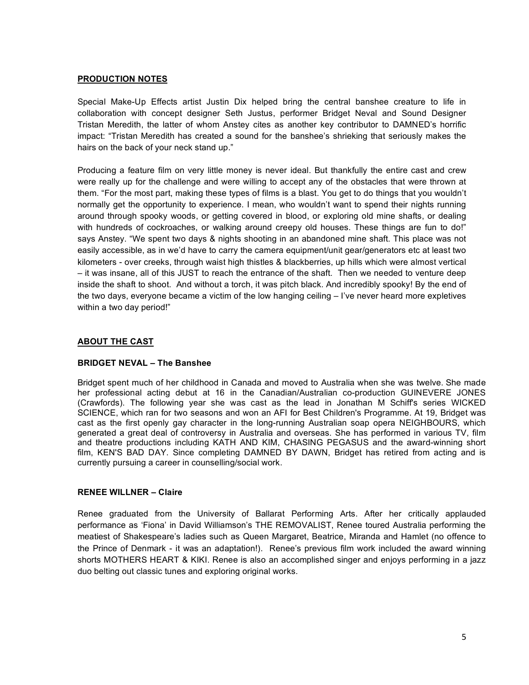## **PRODUCTION NOTES**

Special Make-Up Effects artist Justin Dix helped bring the central banshee creature to life in collaboration with concept designer Seth Justus, performer Bridget Neval and Sound Designer Tristan Meredith, the latter of whom Anstey cites as another key contributor to DAMNED's horrific impact: "Tristan Meredith has created a sound for the banshee's shrieking that seriously makes the hairs on the back of your neck stand up."

Producing a feature film on very little money is never ideal. But thankfully the entire cast and crew were really up for the challenge and were willing to accept any of the obstacles that were thrown at them. "For the most part, making these types of films is a blast. You get to do things that you wouldn't normally get the opportunity to experience. I mean, who wouldn't want to spend their nights running around through spooky woods, or getting covered in blood, or exploring old mine shafts, or dealing with hundreds of cockroaches, or walking around creepy old houses. These things are fun to do!" says Anstey. "We spent two days & nights shooting in an abandoned mine shaft. This place was not easily accessible, as in we'd have to carry the camera equipment/unit gear/generators etc at least two kilometers - over creeks, through waist high thistles & blackberries, up hills which were almost vertical – it was insane, all of this JUST to reach the entrance of the shaft. Then we needed to venture deep inside the shaft to shoot. And without a torch, it was pitch black. And incredibly spooky! By the end of the two days, everyone became a victim of the low hanging ceiling – I've never heard more expletives within a two day period!"

# **ABOUT THE CAST**

#### **BRIDGET NEVAL – The Banshee**

Bridget spent much of her childhood in Canada and moved to Australia when she was twelve. She made her professional acting debut at 16 in the Canadian/Australian co-production GUINEVERE JONES (Crawfords). The following year she was cast as the lead in Jonathan M Schiff's series WICKED SCIENCE, which ran for two seasons and won an AFI for Best Children's Programme. At 19, Bridget was cast as the first openly gay character in the long-running Australian soap opera NEIGHBOURS, which generated a great deal of controversy in Australia and overseas. She has performed in various TV, film and theatre productions including KATH AND KIM, CHASING PEGASUS and the award-winning short film, KEN'S BAD DAY. Since completing DAMNED BY DAWN, Bridget has retired from acting and is currently pursuing a career in counselling/social work.

#### **RENEE WILLNER – Claire**

Renee graduated from the University of Ballarat Performing Arts. After her critically applauded performance as 'Fiona' in David Williamson's THE REMOVALIST, Renee toured Australia performing the meatiest of Shakespeare's ladies such as Queen Margaret, Beatrice, Miranda and Hamlet (no offence to the Prince of Denmark - it was an adaptation!). Renee's previous film work included the award winning shorts MOTHERS HEART & KIKI. Renee is also an accomplished singer and enjoys performing in a jazz duo belting out classic tunes and exploring original works.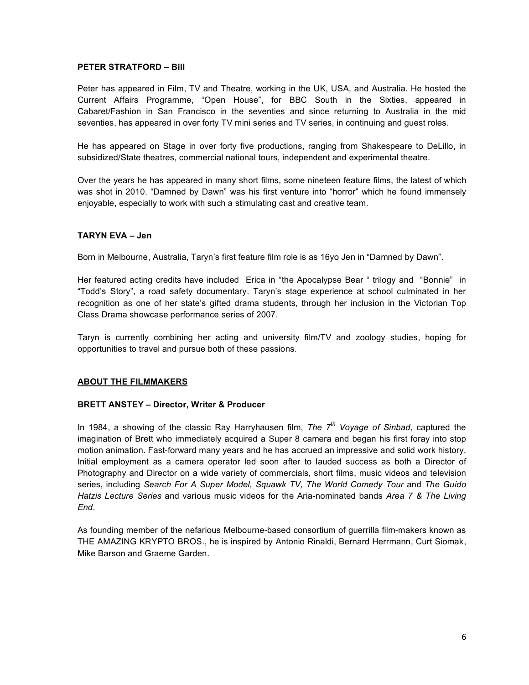# **PETER STRATFORD – Bill**

Peter has appeared in Film, TV and Theatre, working in the UK, USA, and Australia. He hosted the Current Affairs Programme, "Open House", for BBC South in the Sixties, appeared in Cabaret/Fashion in San Francisco in the seventies and since returning to Australia in the mid seventies, has appeared in over forty TV mini series and TV series, in continuing and guest roles.

He has appeared on Stage in over forty five productions, ranging from Shakespeare to DeLillo, in subsidized/State theatres, commercial national tours, independent and experimental theatre.

Over the years he has appeared in many short films, some nineteen feature films, the latest of which was shot in 2010. "Damned by Dawn" was his first venture into "horror" which he found immensely enjoyable, especially to work with such a stimulating cast and creative team.

# **TARYN EVA – Jen**

Born in Melbourne, Australia, Taryn's first feature film role is as 16yo Jen in "Damned by Dawn".

Her featured acting credits have included Erica in "the Apocalypse Bear " trilogy and "Bonnie" in "Todd's Story", a road safety documentary. Taryn's stage experience at school culminated in her recognition as one of her state's gifted drama students, through her inclusion in the Victorian Top Class Drama showcase performance series of 2007.

Taryn is currently combining her acting and university film/TV and zoology studies, hoping for opportunities to travel and pursue both of these passions.

# **ABOUT THE FILMMAKERS**

# **BRETT ANSTEY – Director, Writer & Producer**

In 1984, a showing of the classic Ray Harryhausen film, *The 7th Voyage of Sinbad*, captured the imagination of Brett who immediately acquired a Super 8 camera and began his first foray into stop motion animation. Fast-forward many years and he has accrued an impressive and solid work history. Initial employment as a camera operator led soon after to lauded success as both a Director of Photography and Director on a wide variety of commercials, short films, music videos and television series, including *Search For A Super Model, Squawk TV, The World Comedy Tour* and *The Guido Hatzis Lecture Series* and various music videos for the Aria-nominated bands *Area 7 & The Living End*.

As founding member of the nefarious Melbourne-based consortium of guerrilla film-makers known as THE AMAZING KRYPTO BROS., he is inspired by Antonio Rinaldi, Bernard Herrmann, Curt Siomak, Mike Barson and Graeme Garden.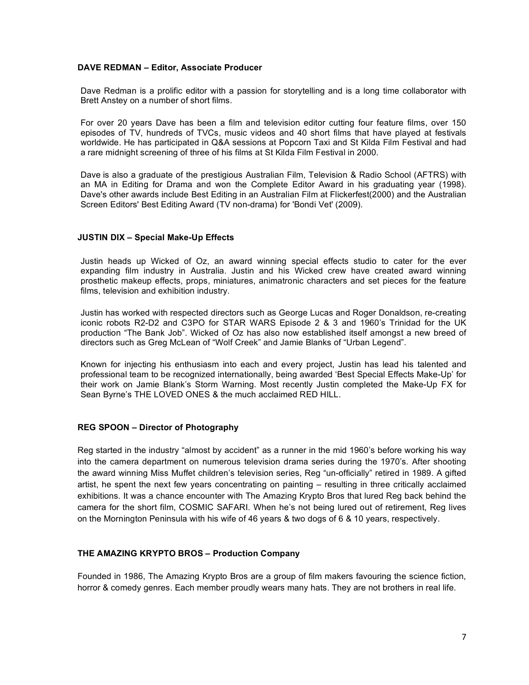#### **DAVE REDMAN – Editor, Associate Producer**

Dave Redman is a prolific editor with a passion for storytelling and is a long time collaborator with Brett Anstey on a number of short films.

For over 20 years Dave has been a film and television editor cutting four feature films, over 150 episodes of TV, hundreds of TVCs, music videos and 40 short films that have played at festivals worldwide. He has participated in Q&A sessions at Popcorn Taxi and St Kilda Film Festival and had a rare midnight screening of three of his films at St Kilda Film Festival in 2000.

Dave is also a graduate of the prestigious Australian Film, Television & Radio School (AFTRS) with an MA in Editing for Drama and won the Complete Editor Award in his graduating year (1998). Dave's other awards include Best Editing in an Australian Film at Flickerfest(2000) and the Australian Screen Editors' Best Editing Award (TV non-drama) for 'Bondi Vet' (2009).

## **JUSTIN DIX – Special Make-Up Effects**

Justin heads up Wicked of Oz, an award winning special effects studio to cater for the ever expanding film industry in Australia. Justin and his Wicked crew have created award winning prosthetic makeup effects, props, miniatures, animatronic characters and set pieces for the feature films, television and exhibition industry.

Justin has worked with respected directors such as George Lucas and Roger Donaldson, re-creating iconic robots R2-D2 and C3PO for STAR WARS Episode 2 & 3 and 1960's Trinidad for the UK production "The Bank Job". Wicked of Oz has also now established itself amongst a new breed of directors such as Greg McLean of "Wolf Creek" and Jamie Blanks of "Urban Legend".

Known for injecting his enthusiasm into each and every project, Justin has lead his talented and professional team to be recognized internationally, being awarded 'Best Special Effects Make-Up' for their work on Jamie Blank's Storm Warning. Most recently Justin completed the Make-Up FX for Sean Byrne's THE LOVED ONES & the much acclaimed RED HILL.

#### **REG SPOON – Director of Photography**

Reg started in the industry "almost by accident" as a runner in the mid 1960's before working his way into the camera department on numerous television drama series during the 1970's. After shooting the award winning Miss Muffet children's television series, Reg "un-officially" retired in 1989. A gifted artist, he spent the next few years concentrating on painting – resulting in three critically acclaimed exhibitions. It was a chance encounter with The Amazing Krypto Bros that lured Reg back behind the camera for the short film, COSMIC SAFARI. When he's not being lured out of retirement, Reg lives on the Mornington Peninsula with his wife of 46 years & two dogs of 6 & 10 years, respectively.

# **THE AMAZING KRYPTO BROS – Production Company**

Founded in 1986, The Amazing Krypto Bros are a group of film makers favouring the science fiction, horror & comedy genres. Each member proudly wears many hats. They are not brothers in real life.